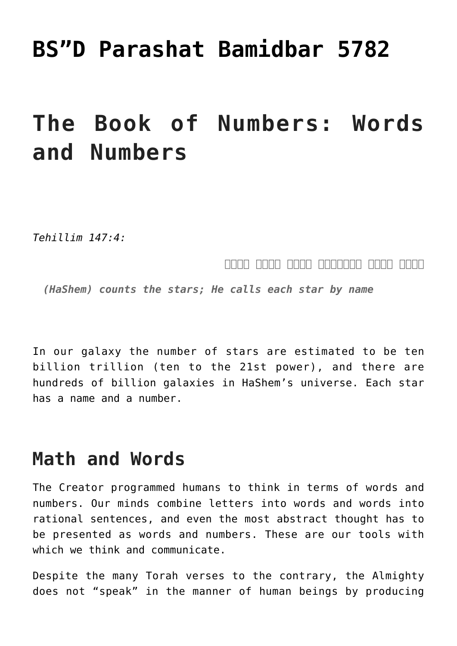## **[BS"D Parashat Bamidbar 5782](https://nachmankahana.com/bsd-parashat-bamidbar-5782/)**

# **The Book of Numbers: Words and Numbers**

*Tehillim 147:4:*

#### *מונה מספר לכוכבים לכלם שמות יקרא*

*(HaShem) counts the stars; He calls each star by name*

In our galaxy the number of stars are estimated to be ten billion trillion (ten to the 21st power), and there are hundreds of billion galaxies in HaShem's universe. Each star has a name and a number.

### **Math and Words**

The Creator programmed humans to think in terms of words and numbers. Our minds combine letters into words and words into rational sentences, and even the most abstract thought has to be presented as words and numbers. These are our tools with which we think and communicate.

Despite the many Torah verses to the contrary, the Almighty does not "speak" in the manner of human beings by producing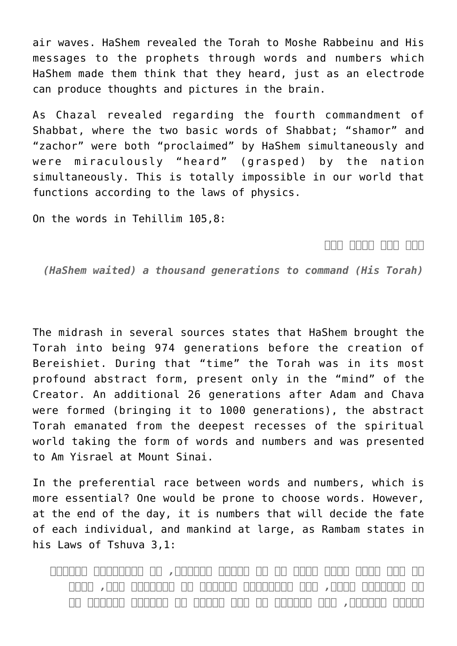air waves. HaShem revealed the Torah to Moshe Rabbeinu and His messages to the prophets through words and numbers which HaShem made them think that they heard, just as an electrode can produce thoughts and pictures in the brain.

As Chazal revealed regarding the fourth commandment of Shabbat, where the two basic words of Shabbat; "shamor" and "zachor" were both "proclaimed" by HaShem simultaneously and were miraculously "heard" (grasped) by the nation simultaneously. This is totally impossible in our world that functions according to the laws of physics.

On the words in Tehillim 105,8:

*דבר צוה לאלף דור*

*(HaShem waited) a thousand generations to command (His Torah)*

The midrash in several sources states that HaShem brought the Torah into being 974 generations before the creation of Bereishiet. During that "time" the Torah was in its most profound abstract form, present only in the "mind" of the Creator. An additional 26 generations after Adam and Chava were formed (bringing it to 1000 generations), the abstract Torah emanated from the deepest recesses of the spiritual world taking the form of words and numbers and was presented to Am Yisrael at Mount Sinai.

In the preferential race between words and numbers, which is more essential? One would be prone to choose words. However, at the end of the day, it is numbers that will decide the fate of each individual, and mankind at large, as Rambam states in his Laws of Tshuva 3,1:

*כל אחד ואחד מבני האדם יש לו זכיות ועונות, מי שזכיותיו יתירות על עונותיו צדיק, ומי שעונותיו יתירות על זכיותיו רשע, מחצה למחצה בינוני, וכן המדינה אם היו זכיות כל יושביה מרובות על*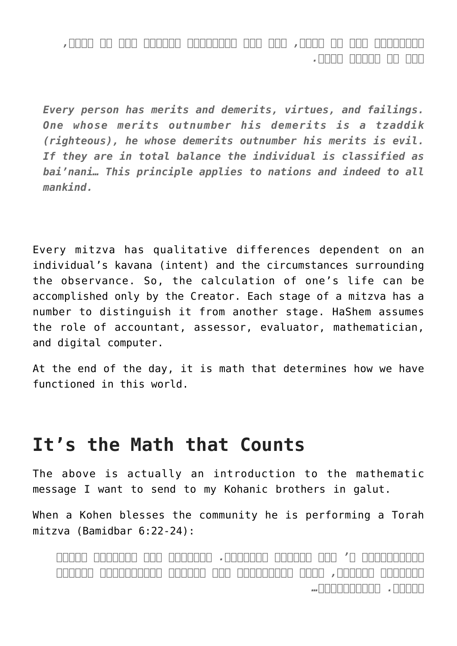*עונותיהן הרי זו צדקת, ואם היו עונותיהם מרובין הרי זו רשעה, וכן כל העולם כולו.*

*Every person has merits and demerits, virtues, and failings. One whose merits outnumber his demerits is a tzaddik (righteous), he whose demerits outnumber his merits is evil. If they are in total balance the individual is classified as bai'nani… This principle applies to nations and indeed to all mankind.*

Every mitzva has qualitative differences dependent on an individual's kavana (intent) and the circumstances surrounding the observance. So, the calculation of one's life can be accomplished only by the Creator. Each stage of a mitzva has a number to distinguish it from another stage. HaShem assumes the role of accountant, assessor, evaluator, mathematician, and digital computer.

At the end of the day, it is math that determines how we have functioned in this world.

## **It's the Math that Counts**

The above is actually an introduction to the mathematic message I want to send to my Kohanic brothers in galut.

When a Kohen blesses the community he is performing a Torah mitzva (Bamidbar 6:22-24):

*וַיְדַבֵּר ה' אֶל מֹשֶׁה לֵּאמֹר. דַּבֵּר אֶל אַהֲרֹן וְאֶל בָּנָיו לֵאמֹר, כֹּה תְבָרֲכוּ אֶת בְּנֵי יִשְׂרָאֵל אָמוֹר לָהֶם. יְבָרֶכְךָ...*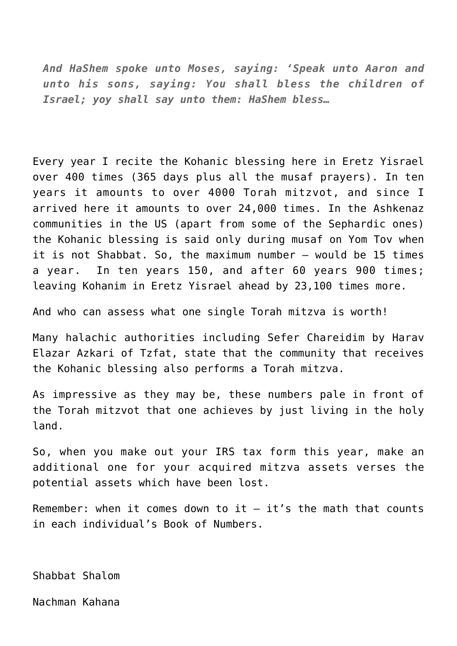*And HaShem spoke unto Moses, saying: 'Speak unto Aaron and unto his sons, saying: You shall bless the children of Israel; yoy shall say unto them: HaShem bless…*

Every year I recite the Kohanic blessing here in Eretz Yisrael over 400 times (365 days plus all the musaf prayers). In ten years it amounts to over 4000 Torah mitzvot, and since I arrived here it amounts to over 24,000 times. In the Ashkenaz communities in the US (apart from some of the Sephardic ones) the Kohanic blessing is said only during musaf on Yom Tov when it is not Shabbat. So, the maximum number — would be 15 times a year. In ten years 150, and after 60 years 900 times; leaving Kohanim in Eretz Yisrael ahead by 23,100 times more.

And who can assess what one single Torah mitzva is worth!

Many halachic authorities including Sefer Chareidim by Harav Elazar Azkari of Tzfat, state that the community that receives the Kohanic blessing also performs a Torah mitzva.

As impressive as they may be, these numbers pale in front of the Torah mitzvot that one achieves by just living in the holy land.

So, when you make out your IRS tax form this year, make an additional one for your acquired mitzva assets verses the potential assets which have been lost.

Remember: when it comes down to it  $-$  it's the math that counts in each individual's Book of Numbers.

Shabbat Shalom

Nachman Kahana